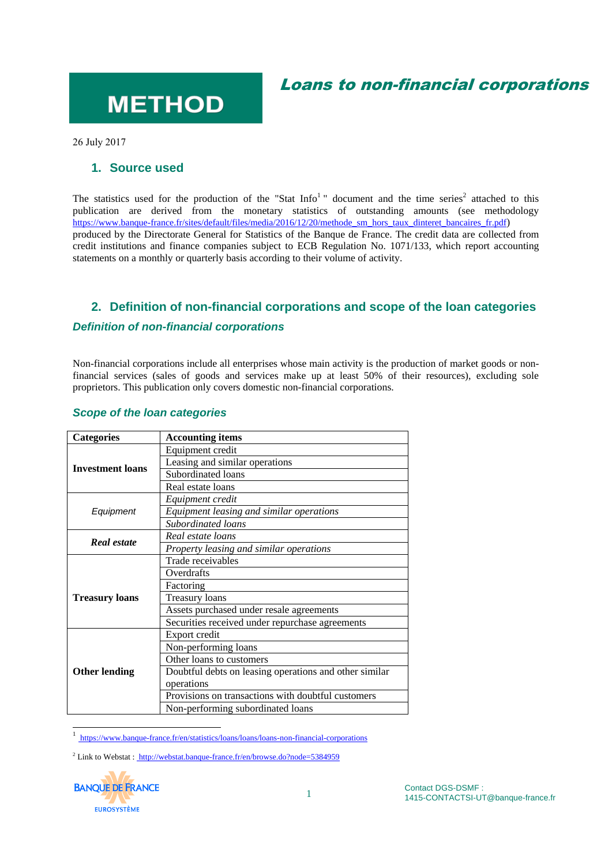## Loans to non-financial corporations

# **METHOD**

26 July 2017

#### **1. Source used**

The statistics used for the production of the "Stat Info<sup>1</sup>" document and the time series<sup>2</sup> attached to this publication are derived from the monetary statistics of outstanding amounts (see methodology [https://www.banque-france.fr/sites/default/files/media/2016/12/20/methode\\_sm\\_hors\\_taux\\_dinteret\\_bancaires\\_fr.pdf](https://www.banque-france.fr/sites/default/files/media/2016/12/20/methode_sm_hors_taux_dinteret_bancaires_fr.pdf)) produced by the Directorate General for Statistics of the Banque de France. The credit data are collected from credit institutions and finance companies subject to ECB Regulation No. 1071/133, which report accounting statements on a monthly or quarterly basis according to their volume of activity.

### **2. Definition of non-financial corporations and scope of the loan categories** *Definition of non-financial corporations*

Non-financial corporations include all enterprises whose main activity is the production of market goods or nonfinancial services (sales of goods and services make up at least 50% of their resources), excluding sole proprietors. This publication only covers domestic non-financial corporations.

| <b>Categories</b>       | <b>Accounting items</b>                                |
|-------------------------|--------------------------------------------------------|
| <b>Investment loans</b> | Equipment credit                                       |
|                         | Leasing and similar operations                         |
|                         | Subordinated loans                                     |
|                         | Real estate loans                                      |
| Equipment               | Equipment credit                                       |
|                         | Equipment leasing and similar operations               |
|                         | Subordinated loans                                     |
| Real estate             | Real estate loans                                      |
|                         | Property leasing and similar operations                |
| <b>Treasury loans</b>   | Trade receivables                                      |
|                         | Overdrafts                                             |
|                         | Factoring                                              |
|                         | <b>Treasury loans</b>                                  |
|                         | Assets purchased under resale agreements               |
|                         | Securities received under repurchase agreements        |
| <b>Other lending</b>    | Export credit                                          |
|                         | Non-performing loans                                   |
|                         | Other loans to customers                               |
|                         | Doubtful debts on leasing operations and other similar |
|                         | operations                                             |
|                         | Provisions on transactions with doubtful customers     |
|                         | Non-performing subordinated loans                      |

#### *Scope of the loan categories*

1 https://www.banque-france.fr/en/statistics/loans/loans/loans-non-financial-corporations

<sup>&</sup>lt;sup>2</sup> Link to Webstat : http://webstat.banque-france.fr/en/browse.do?node=5384959

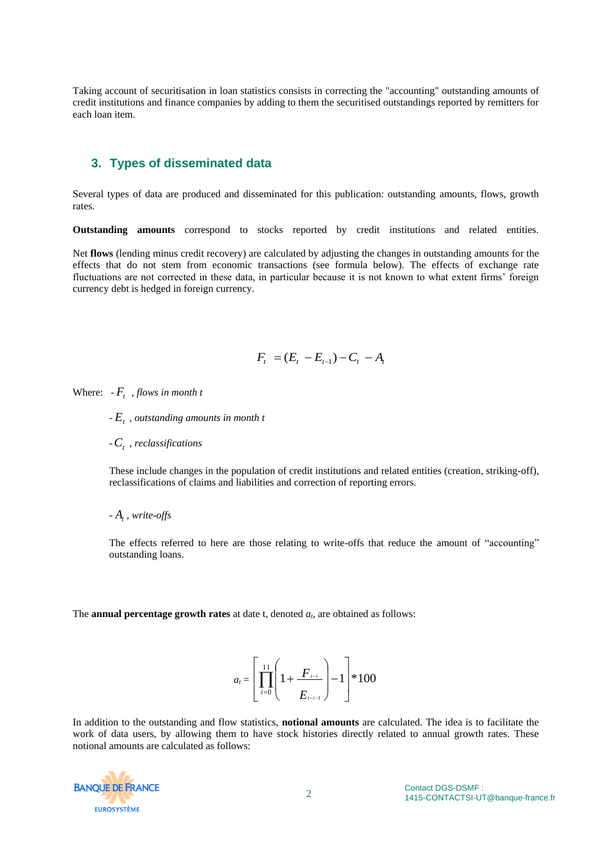Taking account of securitisation in loan statistics consists in correcting the "accounting" outstanding amounts of credit institutions and finance companies by adding to them the securitised outstandings reported by remitters for each loan item.

#### **3. Types of disseminated data**

Several types of data are produced and disseminated for this publication: outstanding amounts, flows, growth rates.

**Outstanding amounts** correspond to stocks reported by credit institutions and related entities.

Net **flows** (lending minus credit recovery) are calculated by adjusting the changes in outstanding amounts for the effects that do not stem from economic transactions (see formula below). The effects of exchange rate fluctuations are not corrected in these data, in particular because it is not known to what extent firms' foreign currency debt is hedged in foreign currency.

$$
F_{t} = (E_{t} - E_{t-1}) - C_{t} - A_{t}
$$

Where:  $-F_t$ , *flows in month t* 

- *E<sup>t</sup>* , *outstanding amounts in month t*
- -*C<sup>t</sup>* , *reclassifications*

These include changes in the population of credit institutions and related entities (creation, striking-off), reclassifications of claims and liabilities and correction of reporting errors.

- *A<sup>t</sup>* , *write-offs*

The effects referred to here are those relating to write-offs that reduce the amount of "accounting" outstanding loans.

The **annual percentage growth rates** at date t, denoted *a<sup>t</sup>* , are obtained as follows:

$$
a_{t} = \left[ \prod_{i=0}^{11} \left( 1 + \frac{F_{t-i}}{E_{t-i-1}} \right) - 1 \right] * 100
$$

In addition to the outstanding and flow statistics, **notional amounts** are calculated. The idea is to facilitate the work of data users, by allowing them to have stock histories directly related to annual growth rates. These notional amounts are calculated as follows: